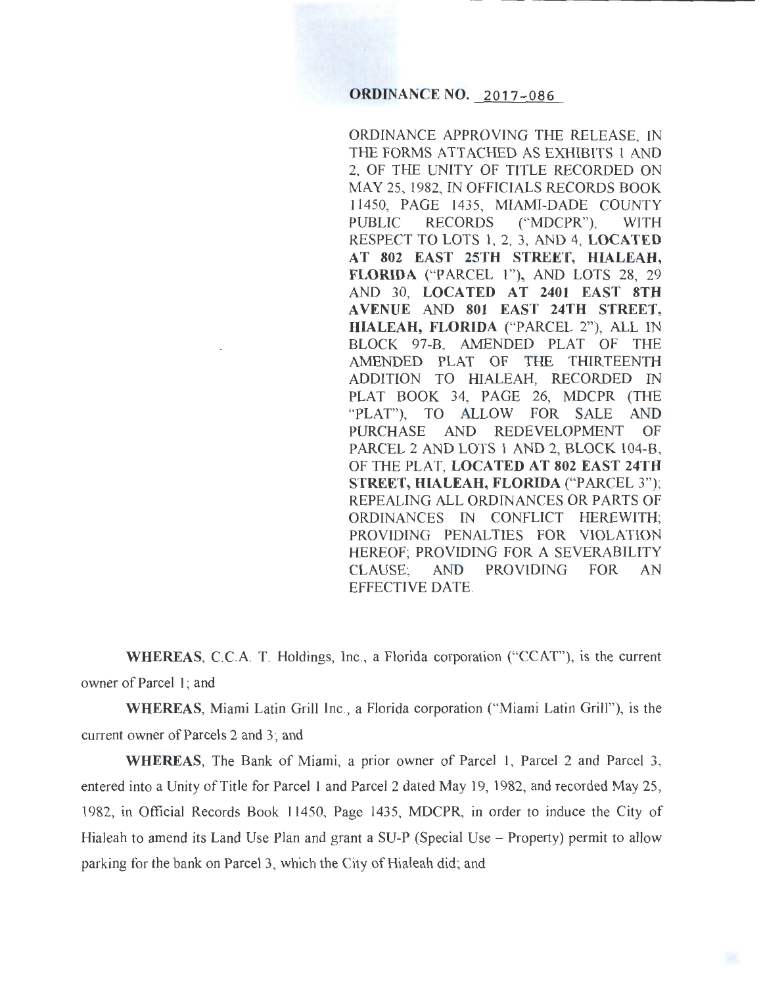# **ORDINANCE NO. 2017-086**

ORDINANCE APPROVING THE RELEASE, IN THE FORMS ATTACHED AS EXHIBITS 1 AND 2, OF THE UNITY OF TITLE RECORDED ON MAY 25, 1982, IN OFFICIALS RECORDS BOOK 11450, PAGE 1435, MIAMI-DADE COUNTY PUBLIC RECORDS ("MDCPR"), WITH RESPECT TO LOTS 1, 2, 3, AND 4, LOCATED AT 802 EAST 25TH STREET, HIALEAH, FLORIDA ("PARCEL 1"), AND LOTS 28, 29 AND 30, LOCATED AT 2401 EAST 8TH A VENUE AND 801 EAST 24TH STREET, HIALEAH, FLORIDA ("PARCEL 2"), ALL IN BLOCK 97-B, AMENDED PLAT OF THE AMENDED PLAT OF THE THIRTEENTH ADDITION TO HIALEAH, RECORDED IN PLAT BOOK 34, PAGE 26, MDCPR (THE "PLAT"), TO ALLOW FOR SALE AND PURCHASE AND REDEVELOPMENT OF PARCEL 2 AND LOTS 1 AND 2, BLOCK 104-B, OF THE PLAT, LOCATED AT 802 EAST 24TH STREET, HIALEAH, FLORIDA ("PARCEL 3"); REPEALING ALL ORDINANCES OR PARTS OF ORDINANCES IN CONFLICT HEREWITH; PROVIDING PENALTIES FOR VIOLATION HEREOF; PROVIDING FOR A SEVERABILITY CLAUSE; AND PROVIDING FOR AN EFFECTIVE DATE.

WHEREAS, C.C.A. T. Holdings, Inc., a Florida corporation ("CCAT"), is the current owner of Parcel 1; and

WHEREAS, Miami Latin Grill Inc., a Florida corporation ("Miami Latin Grill"), is the current owner of Parcels 2 and 3; and

WHEREAS, The Bank of Miami, a prior owner of Parcel 1, Parcel 2 and Parcel 3, entered into a Unity of Title for Parcel 1 and Parcel 2 dated May 19, 1982, and recorded May 25, 1982, in Official Records Book 11450, Page 1435, MDCPR, in order to induce the City of Hialeah to amend its Land Use Plan and grant a SU-P (Special Use – Property) permit to allow parking for the bank on Parcel 3, which the City of Hialeah did; and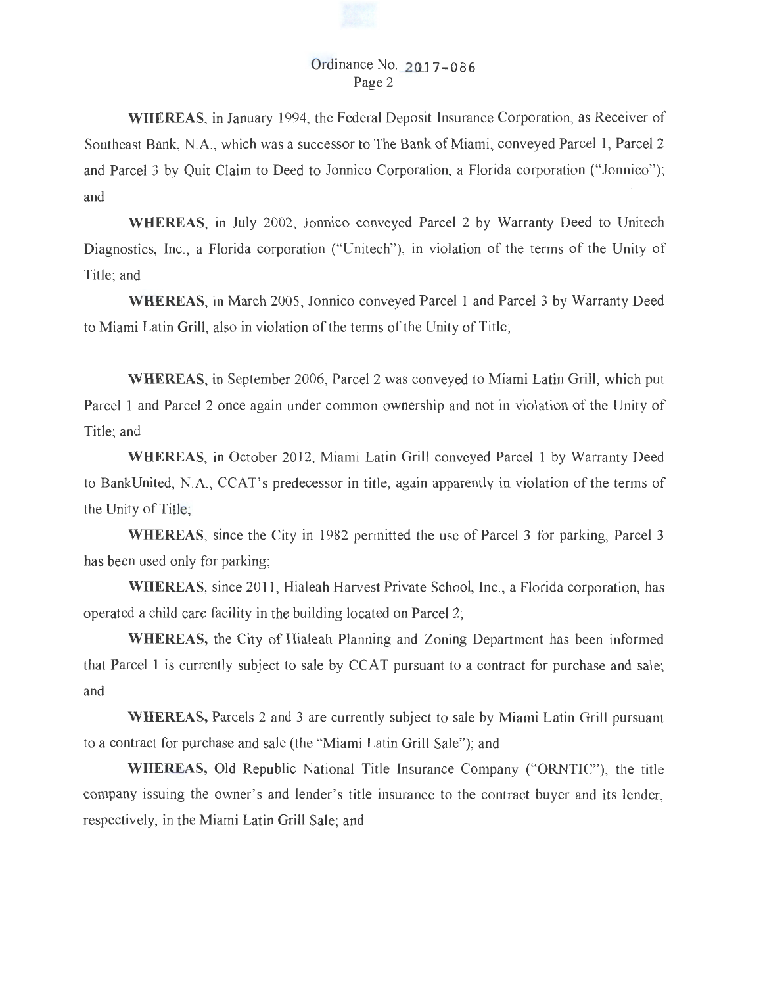# Ordinance No.\_\_2\_01\_]-086 Page 2

**WHEREAS,** in January 1994, the Federal Deposit Insurance Corporation, as Receiver of Southeast Bank, N.A., which was a successor to The Bank of Miami, conveyed Parcel 1, Parcel 2 and Parcel 3 by Quit Claim to Deed to Jonnico Corporation, a Florida corporation ("Jonnico"); and

**WHEREAS,** in July 2002, Jonnico conveyed Parcel 2 by Warranty Deed to Unitech Diagnostics, Inc., a Florida corporation ("Unitech"), in violation of the terms of the Unity of Title; and

**WHEREAS,** in March 2005, Jonnico conveyed Parcel 1 and Parcel 3 by Warranty Deed to Miami Latin Grill, also in violation of the terms of the Unity of Title;

**WHEREAS,** in September 2006, Parcel 2 was conveyed to Miami Latin Grill, which put Parcel 1 and Parcel 2 once again under common ownership and not in violation of the Unity of Title; and

**WHEREAS,** in October 2012, Miami Latin Grill conveyed Parcel 1 by Warranty Deed to BankUnited, N.A., CCAT's predecessor in title, again apparently in violation of the terms of the Unity of Title;

**WHEREAS,** since the City in 1982 permitted the use of Parcel 3 for parking, Parcel 3 has been used only for parking;

WHEREAS, since 2011, Hialeah Harvest Private School, Inc., a Florida corporation, has operated a child care facility in the building located on Parcel 2;

**WHEREAS,** the City of Hialeah Planning and Zoning Department has been informed that Parcel 1 is currently subject to sale by CCAT pursuant to a contract for purchase and sale; and

**WHEREAS,** Parcels 2 and 3 are currently subject to sale by Miami Latin Grill pursuant to a contract for purchase and sale (the "Miami Latin Grill Sale"); and

**WHEREAS,** Old Republic National Title Insurance Company ("ORNTIC"), the title company issuing the owner's and lender's title insurance to the contract buyer and its lender, respectively, in the Miami Latin Grill Sale; and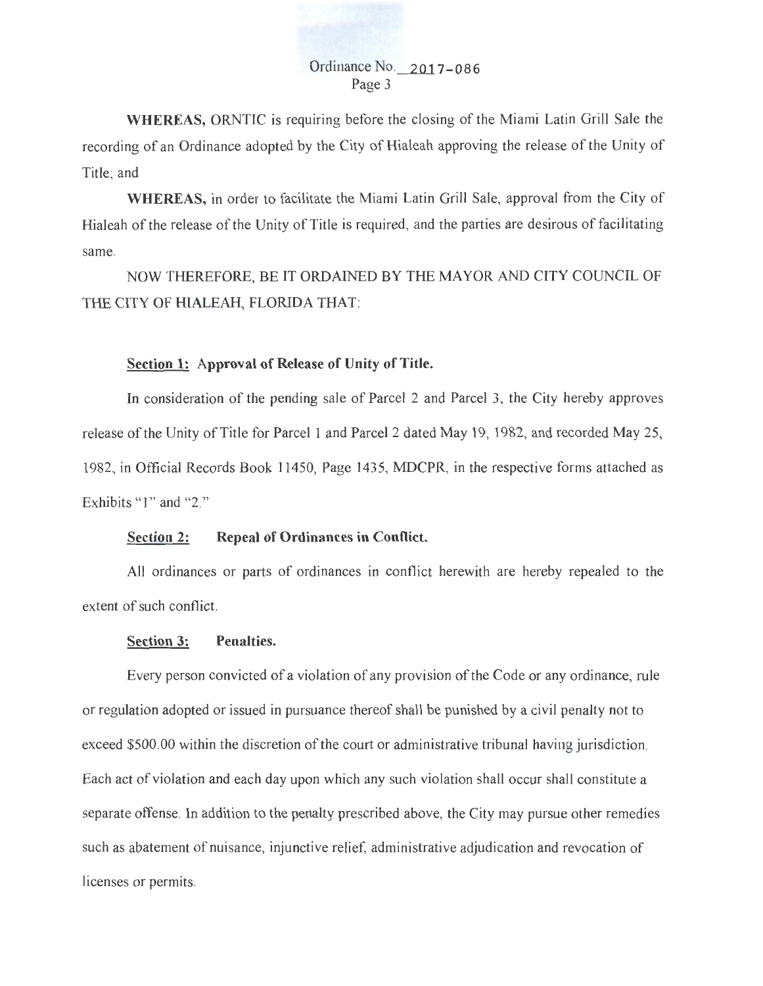## Ordinance No.\_\_\_2\_Qj\_ **7-086**  Page 3

**WHEREAS,** ORNTIC is requiring before the closing of the Miami Latin Grill Sale the recording of an Ordinance adopted by the City of Hialeah approving the release of the Unity of Title; and

**WHEREAS,** in order to facilitate the Miami Latin Grill Sale, approval from the City of Hialeah of the release of the Unity of Title is required, and the parties are desirous of facilitating same.

NOW THEREFORE, BE IT ORDAINED BY THE MAYOR AND CITY COUNCIL OF THE CITY OF HIALEAH, FLORIDA THAT:

## **Section 1: Approval of Release of Unity of Title.**

In consideration of the pending sale of Parcel 2 and Parcel 3, the City hereby approves release of the Unity of Title for Parcel 1 and Parcel 2 dated May 19, 1982, and recorded May 25, 1982, in Official Records Book 11450, Page 1435, MDCPR, in the respective forms attached as Exhibits " $1$ " and " $2$ ."

## **Section 2: Repeal of Ordinances in Conflict.**

All ordinances or parts of ordinances in conflict herewith are hereby repealed to the extent of such conflict.

## **Section 3: Penalties.**

Every person convicted of a violation of any provision of the Code or any ordinance, rule or regulation adopted or issued in pursuance thereof shall be punished by a civil penalty not to exceed \$500.00 within the discretion of the court or administrative tribunal having jurisdiction. Each act of violation and each day upon which any such violation shall occur shall constitute a separate offense. In addition to the penalty prescribed above, the City may pursue other remedies such as abatement of nuisance, injunctive relief, administrative adjudication and revocation of licenses or permits.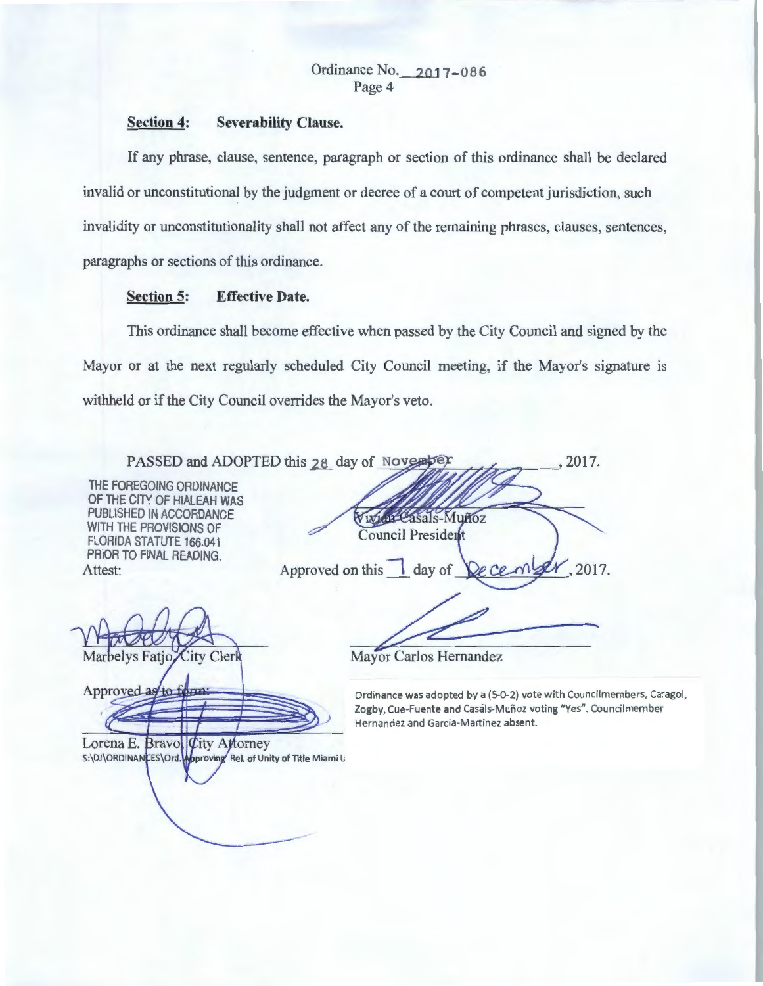# Ordinance No. 2017-086 Page 4

## **Section 4: Severability Clause.**

If any phrase, clause, sentence, paragraph or section of this ordinance shall be declared invalid or unconstitutional by the judgment or decree of a court of competent jurisdiction, such invalidity or unconstitutionality shall not affect any of the remaining phrases, clauses, sentences, paragraphs or sections of this ordinance.

# **Section 5: Effective Date.**

This ordinance shall become effective when passed by the City Council and signed by the Mayor or at the next regularly scheduled City Council meeting, if the Mayor's signature is withheld or if the City Council overrides the Mayor's veto.

| PASSED and ADOPTED this 28 day of November                                                                                                                                  | 2017.                                                                                                                                                                            |
|-----------------------------------------------------------------------------------------------------------------------------------------------------------------------------|----------------------------------------------------------------------------------------------------------------------------------------------------------------------------------|
| THE FOREGOING ORDINANCE<br>OF THE CITY OF HIALEAH WAS<br>PUBLISHED IN ACCORDANCE<br>WITH THE PROVISIONS OF<br>FLORIDA STATUTE 166.041<br>PRIOR TO FINAL READING.<br>Attest: | Vivida Casals-Muñoz<br>Council President<br>Approved on this day of De Ce<br>2017.                                                                                               |
| Marbelys Fatjo City Clerk                                                                                                                                                   | Mayor Carlos Hernandez                                                                                                                                                           |
| Approved as to form<br>Lorena E. Bravol $Q$ ity Attorney<br>S:\DJ\ORDINANCES\Ord.Woproving Rel. of Unity of Title Miami L                                                   | Ordinance was adopted by a (5-0-2) vote with Councilmembers, Caragol,<br>Zogby, Cue-Fuente and Casáls-Muñoz voting "Yes". Councilmember<br>Hernandez and Garcia-Martinez absent. |
|                                                                                                                                                                             |                                                                                                                                                                                  |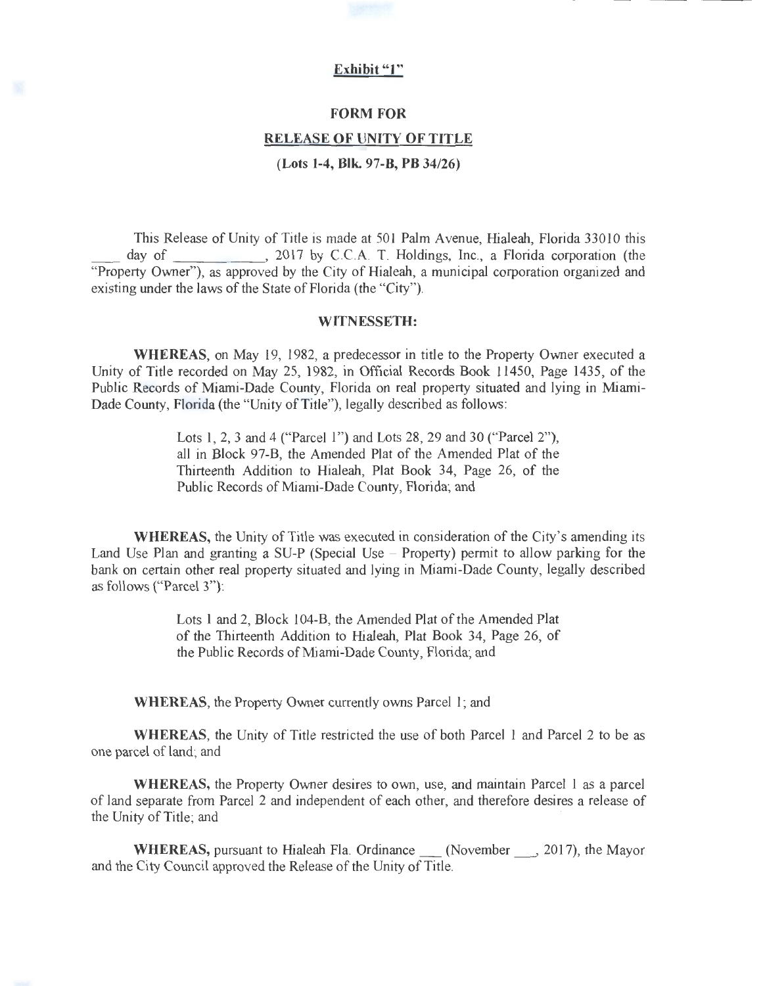## **Exhibit "1"**

#### **FORM FOR**

#### **RELEASE OF UNITY OF TITLE**

**(Lots 1-4, Blk. 97-B, PB 34/26)** 

This Release of Unity of Title is made at 501 Palm Avenue, Hialeah, Florida 33010 this day of , 2017 by C.C.A. T. Holdings, Inc., a Florida corporation (the "Property Owner"), as approved by the City of Hialeah, a municipal corporation organized and existing under the laws of the State of Florida (the "City").

#### **WITNESSETH:**

**WHEREAS,** on May 19, 1982, a predecessor in title to the Property Owner executed a Unity of Title recorded on May 25, 1982, in Official Records Book 11450, Page 1435, of the Public Records of Miami-Dade County, Florida on real property situated and lying in Miami-Dade County, Florida (the "Unity of Title"), legally described as follows:

> Lots 1, 2, 3 and 4 ("Parcel 1") and Lots 28, 29 and 30 ("Parcel 2"), all in Block 97-B, the Amended Plat of the Amended Plat of the Thirteenth Addition to Hialeah, Plat Book 34, Page 26, of the Public Records of Miami-Dade County, Florida; and

**WHEREAS,** the Unity of Title was executed in consideration of the City's amending its Land Use Plan and granting a SU-P (Special Use - Property) permit to allow parking for the bank on certain other real property situated and lying in Miami-Dade County, legally described as follows ("Parcel 3"):

> Lots 1 and 2, Block 104-B, the Amended Plat of the Amended Plat of the Thirteenth Addition to Hialeah, Plat Book 34, Page 26, of the Public Records of Miami-Dade County, Florida; and

**WHEREAS,** the Property Owner currently owns Parcel 1; and

**WHEREAS,** the Unity of Title restricted the use of both Parcel **1** and Parcel 2 to be as one parcel of land; and

**WHEREAS,** the Property Owner desires to own, use, and maintain Parcel 1 as a parcel of land separate from Parcel 2 and independent of each other, and therefore desires a release of the Unity of Title; and

**WHEREAS,** pursuant to Hialeah Fla. Ordinance (November , 2017), the Mayor and the City Council approved the Release of the Unity of Title.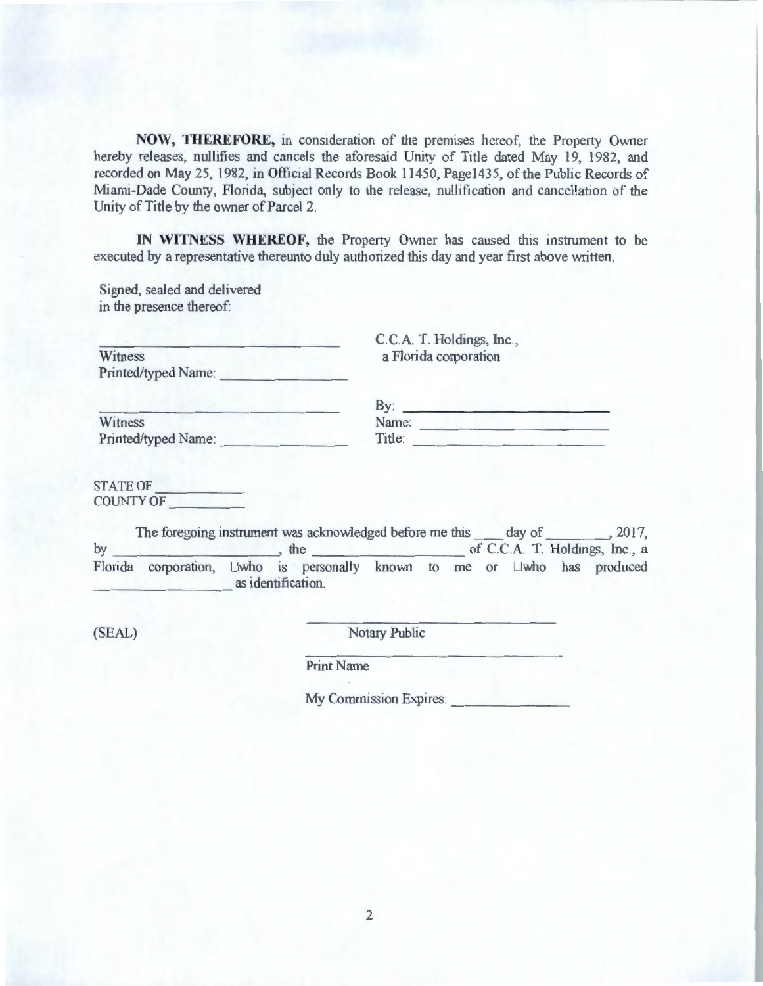**NOW, THEREFORE,** in consideration of the premises hereof, the Property Owner hereby releases, nullifies and cancels the aforesaid Unity of Title dated May 19, 1982, and recorded on May 25, 1982, in Official Records Book 11450, Page1435, of the Public Records of Miami-Dade County, Florida, subject only to the release, nullification and cancellation of the Unity of Title by the owner of Parcel 2.

**IN WITNESS WHEREOF,** the Property Owner has caused this instrument to be executed by a representative thereunto duly authorized this day and year first above written.

Signed, sealed and delivered in the presence thereof:

| Witness             |  |
|---------------------|--|
| Printed/typed Name: |  |

C.C.A. T. Holdings, Inc., a Florida corporation

|                     | By:    |  |
|---------------------|--------|--|
| Witness             | Name:  |  |
| Printed/typed Name: | Title: |  |

| <b>STATE OF</b>  |  |
|------------------|--|
| <b>COUNTY OF</b> |  |

| by | The foregoing instrument was acknowledged before me this day of                      |                    | the |  |  |  | .2017,<br>of C.C.A. T. Holdings, Inc., a |
|----|--------------------------------------------------------------------------------------|--------------------|-----|--|--|--|------------------------------------------|
|    | Florida corporation, $\Box$ who is personally known to me or $\Box$ who has produced | as identification. |     |  |  |  |                                          |

(SEAL) Notary Public

Print Name

My Commission Expires: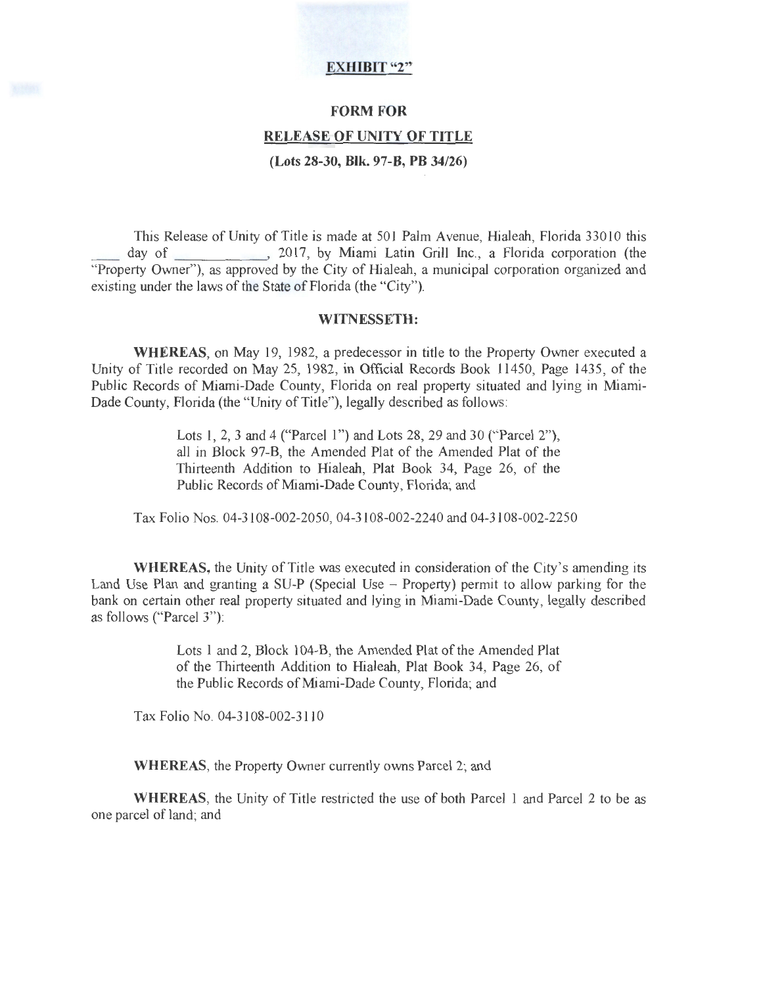# **EXHIBIT "2"**

#### **FORM FOR**

# **RELEASE OF UNITY OF TITLE**

**(Lots 28-30, Blk. 97-B, PB 34/26)** 

This Release of Unity of Title is made at 501 Palm Avenue, Hialeah, Florida 33010 this day of 2017, by Miami Latin Grill Inc., a Florida corporation (the "Property Owner"), as approved by the City of Hialeah, a municipal corporation organized and existing under the laws of the State of Florida (the "City").

#### **WITNESSETH:**

**WHEREAS,** on May 19, 1982, a predecessor in title to the Property Owner executed a Unity of Title recorded on May 25, 1982, in Official Records Book 11450, Page 1435, of the Public Records of Miami-Dade County, Florida on real property situated and lying in Miami-Dade County, Florida (the "Unity of Title"), legally described as follows:

> Lots 1, 2, 3 and 4 ("Parcel 1") and Lots 28, 29 and 30 ("Parcel 2"), all in Block 97-B, the Amended Plat of the Amended Plat of the Thirteenth Addition to Hialeah, Plat Book 34, Page 26, of the Public Records of Miami-Dade County, Florida; and

Tax Folio Nos. 04-3108-002-2050, 04-3108-002-2240 and 04-3108-002-2250

**WHEREAS,** the Unity of Title was executed in consideration of the City's amending its Land Use Plan and granting a SU-P (Special Use - Property) permit to allow parking for the bank on certain other real property situated and lying in Miami-Dade County, legally described as follows ("Parcel 3"):

> Lots 1 and 2, Block 104-B, the Amended Plat of the Amended Plat of the Thirteenth Addition to Hialeah, Plat Book 34, Page 26, of the Public Records of Miami-Dade County, Florida; and

Tax Folio No. 04-3108-002-3110

**WHEREAS,** the Property Owner currently owns Parcel 2; and

**WHEREAS,** the Unity of Title restricted the use of both Parcel I and Parcel 2 to be as one parcel of land; and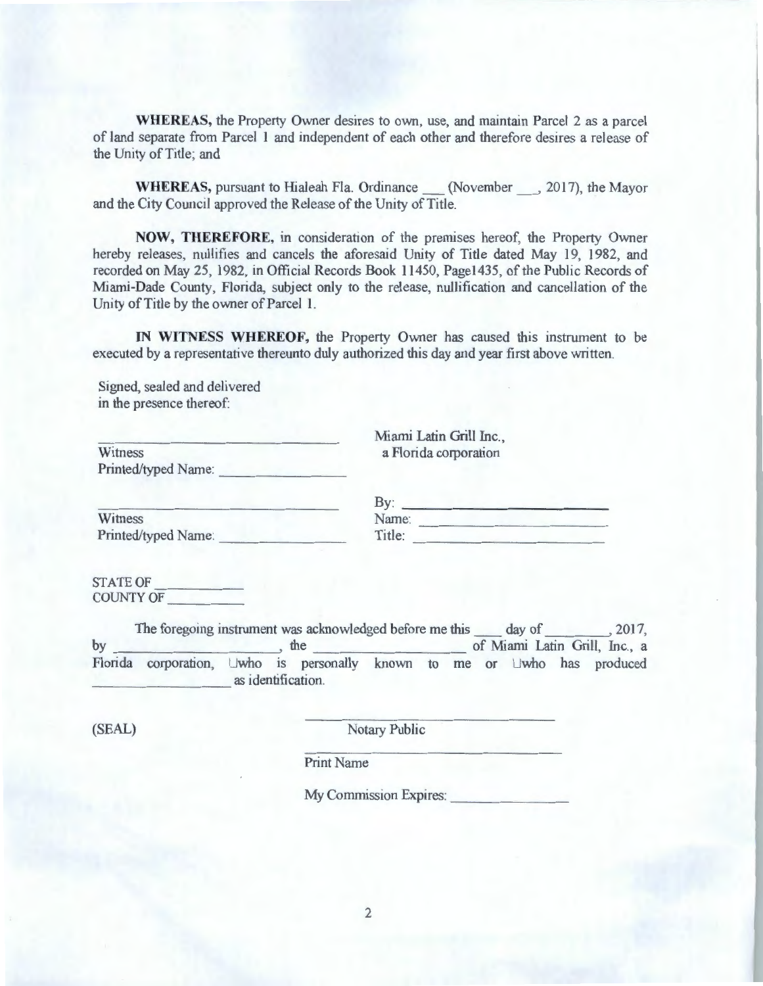**WHEREAS,** the Property Owner desires to own, use, and maintain Parcel 2 as a parcel of land separate from Parcel l and independent of each other and therefore desires a release of the Unity of Title; and

**WHEREAS, pursuant to Hialeah Fla. Ordinance (November \_\_, 2017), the Mayor** and the City Council approved the Release of the Unity of Title.

**NOW, THEREFORE,** in consideration of the premises hereof, the Property Owner hereby releases, nullifies and cancels the aforesaid Unity of Title dated May 19, 1982, and recorded on May 25, 1982, in Official Records Book 11450, Page1435, of the Public Records of Miami-Dade County, Florida, subject only to the release, nullification and cancellation of the Unity of Title by the owner of Parcel 1.

**IN WITNESS WHEREOF,** the Property Owner has caused this instrument to be executed by a representative thereunto duly authorized this day and year first above written.

Signed, sealed and delivered in the presence thereof:

Witness Printed/typed Name: Miami Latin Grill Inc., a Florida corporation

**Witness** Printed/typed Name:

| By:    |  |
|--------|--|
| Name:  |  |
| Title: |  |

STATE OF \_\_\_\_\_\_\_\_ \_\_ COUNTY OF \_\_\_\_\_\_ \_\_

The foregoing instrument was acknowledged before me this day of , 2017, by the of Miami Latin Grill, Inc., a Florida corporation,  $\Box$ who is personally known to me or  $\Box$ who has produced as identification.

(SEAL) Notary Public

Print Name

My Commission Expires: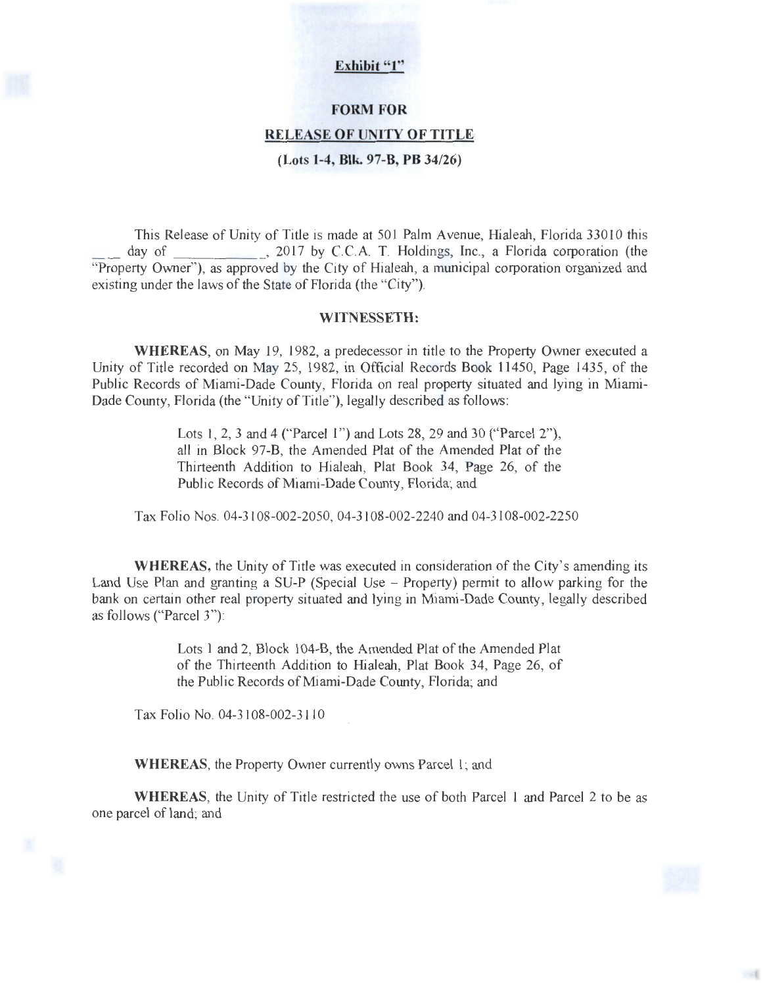#### Exhibit "1"

# **FORM FOR RELEASE OF UNITY OF TITLE**

**(Lots 1-4, Blk. 97-B, PB 34/26)** 

This Release of Unity of Title is made at 501 Palm Avenue, Hialeah, Florida 33010 this day of 2017 by C.C.A. T. Holdings, Inc., a Florida corporation (the  $\Box$ , 2017 by C.C.A. T. Holdings, Inc., a Florida corporation (the "Property Owner"), as approved by the City of Hialeah, a municipal corporation organized and existing under the laws of the State of Florida (the "City").

#### **WITNESSETH:**

**WHEREAS,** on May 19, 1982, a predecessor in title to the Property Owner executed a Unity of Title recorded on May 25, 1982, in Official Records Book 11450, Page 1435, of the Public Records of Miami-Dade County, Florida on real property situated and lying in Miami-Dade County, Florida (the "Unity of Title"), legally described as follows:

> Lots 1, 2, 3 and 4 ("Parcel 1") and Lots 28, 29 and 30 ("Parcel 2"), all in Block 97-B, the Amended Plat of the Amended Plat of the Thirteenth Addition to Hialeah, Plat Book 34, Page 26, of the Public Records of Miami-Dade County, Florida; and

Tax Folio Nos. 04-3108-002-2050, 04-3108-002-2240 and 04-3108-002-2250

**WHEREAS,** the Unity of Title was executed in consideration of the City's amending its Land Use Plan and granting a SU-P (Special Use - Property) permit to allow parking for the bank on certain other real property situated and lying in Miami-Dade County, legally described as follows ("Parcel 3"):

> Lots 1 and 2, Block 104-B, the Amended Plat of the Amended Plat of the Thirteenth Addition to Hialeah, Plat Book 34, Page 26, of the Public Records of Miami-Dade County, Florida; and

Tax Folio No. 04-3108-002-3110

**WHEREAS,** the Property Owner currently owns Parcel 1; and

**WHEREAS,** the Unity of Title restricted the use of both Parcel 1 and Parcel 2 to be as one parcel of land; and